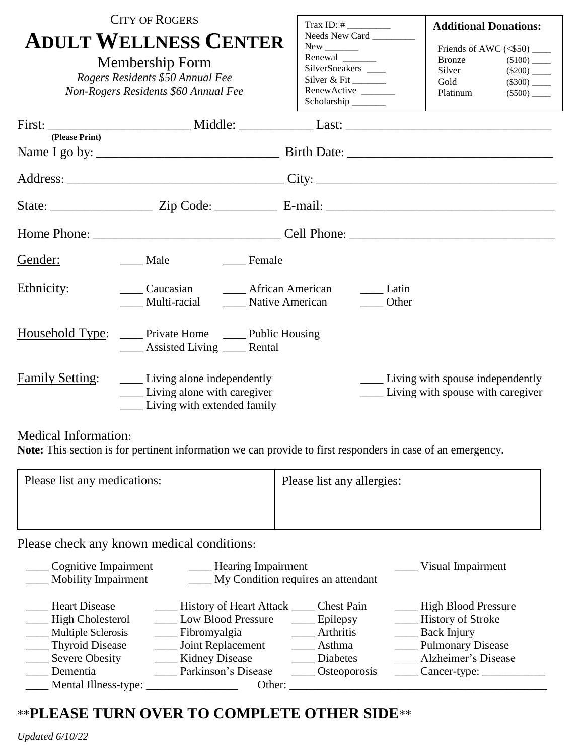|                        | <b>CITY OF ROGERS</b>                                                                                                       |                                                                                           | <b>Additional Donations:</b>                                                                                                                                             |
|------------------------|-----------------------------------------------------------------------------------------------------------------------------|-------------------------------------------------------------------------------------------|--------------------------------------------------------------------------------------------------------------------------------------------------------------------------|
|                        | <b>ADULT WELLNESS CENTER</b><br>Membership Form<br>Rogers Residents \$50 Annual Fee<br>Non-Rogers Residents \$60 Annual Fee | Needs New Card<br>SilverSneakers ____<br>Silver & Fit<br>RenewActive _____<br>Scholarship | Friends of AWC $(<$ \$50) ______<br><b>Bronze</b><br>$(\$100)$ <sub>_____</sub><br>Silver<br>$(\$200)$ <sub>____</sub><br>Gold<br>Platinum<br>$(\$500)$ <sub>_____</sub> |
| (Please Print)         |                                                                                                                             |                                                                                           |                                                                                                                                                                          |
|                        |                                                                                                                             |                                                                                           |                                                                                                                                                                          |
|                        |                                                                                                                             |                                                                                           |                                                                                                                                                                          |
|                        |                                                                                                                             |                                                                                           |                                                                                                                                                                          |
|                        |                                                                                                                             |                                                                                           |                                                                                                                                                                          |
| Gender:                | Male Female                                                                                                                 |                                                                                           |                                                                                                                                                                          |
| Ethnicity:             | Caucasian <u>I</u> African American<br>Multi-racial _______ Native American                                                 | Latin<br><b>Other</b>                                                                     |                                                                                                                                                                          |
|                        | Household Type: _____ Private Home _____ Public Housing<br>____ Assisted Living ____ Rental                                 |                                                                                           |                                                                                                                                                                          |
| <b>Family Setting:</b> | <u>Living</u> alone independently<br>_____ Living alone with caregiver<br>Living with extended family                       |                                                                                           | ______ Living with spouse independently<br>Living with spouse with caregiver                                                                                             |

## Medical Information:

**Note:** This section is for pertinent information we can provide to first responders in case of an emergency.

| Please list any medications: | Please list any allergies: |
|------------------------------|----------------------------|
|                              |                            |
|                              |                            |

Please check any known medical conditions:

| Cognitive Impairment       | <b>Hearing Impairment</b>          | Visual Impairment |                            |
|----------------------------|------------------------------------|-------------------|----------------------------|
| <b>Mobility Impairment</b> | My Condition requires an attendant |                   |                            |
|                            |                                    |                   |                            |
| <b>Heart Disease</b>       | History of Heart Attack            | <b>Chest Pain</b> | <b>High Blood Pressure</b> |
| <b>High Cholesterol</b>    | _ Low Blood Pressure               | Epilepsy          | <b>History of Stroke</b>   |
| Multiple Sclerosis         | Fibromyalgia                       | Arthritis         | <b>Back Injury</b>         |
| Thyroid Disease            | Joint Replacement                  | Asthma            | <b>Pulmonary Disease</b>   |
| Severe Obesity             | <b>Kidney Disease</b>              | Diabetes          | Alzheimer's Disease        |
| Dementia                   | Parkinson's Disease                | Osteoporosis      | Cancer-type:               |
| Mental Illness-type:       | Other:                             |                   |                            |

## \*\***PLEASE TURN OVER TO COMPLETE OTHER SIDE**\*\*

*Updated 6/10/22*